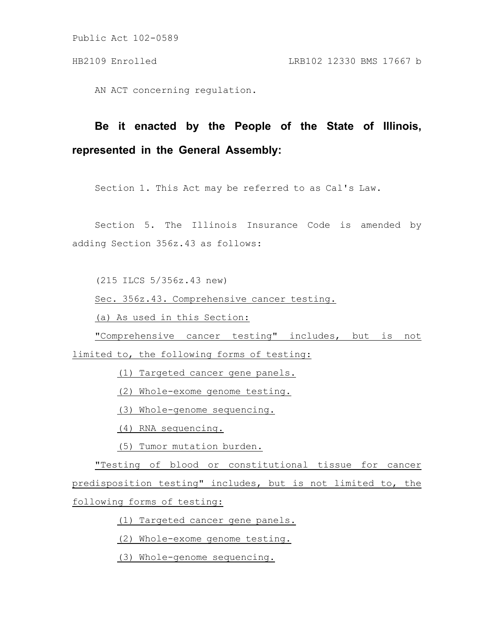AN ACT concerning regulation.

## **Be it enacted by the People of the State of Illinois, represented in the General Assembly:**

Section 1. This Act may be referred to as Cal's Law.

Section 5. The Illinois Insurance Code is amended by adding Section 356z.43 as follows:

(215 ILCS 5/356z.43 new)

Sec. 356z.43. Comprehensive cancer testing.

(a) As used in this Section:

"Comprehensive cancer testing" includes, but is not

limited to, the following forms of testing:

(1) Targeted cancer gene panels.

(2) Whole-exome genome testing.

(3) Whole-genome sequencing.

(4) RNA sequencing.

(5) Tumor mutation burden.

"Testing of blood or constitutional tissue for cancer predisposition testing" includes, but is not limited to, the following forms of testing:

(1) Targeted cancer gene panels.

(2) Whole-exome genome testing.

(3) Whole-genome sequencing.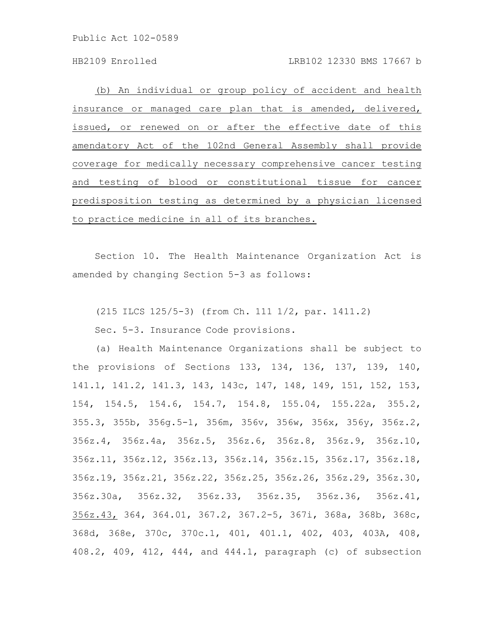(b) An individual or group policy of accident and health insurance or managed care plan that is amended, delivered, issued, or renewed on or after the effective date of this amendatory Act of the 102nd General Assembly shall provide coverage for medically necessary comprehensive cancer testing and testing of blood or constitutional tissue for cancer predisposition testing as determined by a physician licensed to practice medicine in all of its branches.

Section 10. The Health Maintenance Organization Act is amended by changing Section 5-3 as follows:

(215 ILCS 125/5-3) (from Ch. 111 1/2, par. 1411.2)

Sec. 5-3. Insurance Code provisions.

(a) Health Maintenance Organizations shall be subject to the provisions of Sections 133, 134, 136, 137, 139, 140, 141.1, 141.2, 141.3, 143, 143c, 147, 148, 149, 151, 152, 153, 154, 154.5, 154.6, 154.7, 154.8, 155.04, 155.22a, 355.2, 355.3, 355b, 356g.5-1, 356m, 356v, 356w, 356x, 356y, 356z.2, 356z.4, 356z.4a, 356z.5, 356z.6, 356z.8, 356z.9, 356z.10, 356z.11, 356z.12, 356z.13, 356z.14, 356z.15, 356z.17, 356z.18, 356z.19, 356z.21, 356z.22, 356z.25, 356z.26, 356z.29, 356z.30, 356z.30a, 356z.32, 356z.33, 356z.35, 356z.36, 356z.41, 356z.43, 364, 364.01, 367.2, 367.2-5, 367i, 368a, 368b, 368c, 368d, 368e, 370c, 370c.1, 401, 401.1, 402, 403, 403A, 408, 408.2, 409, 412, 444, and 444.1, paragraph (c) of subsection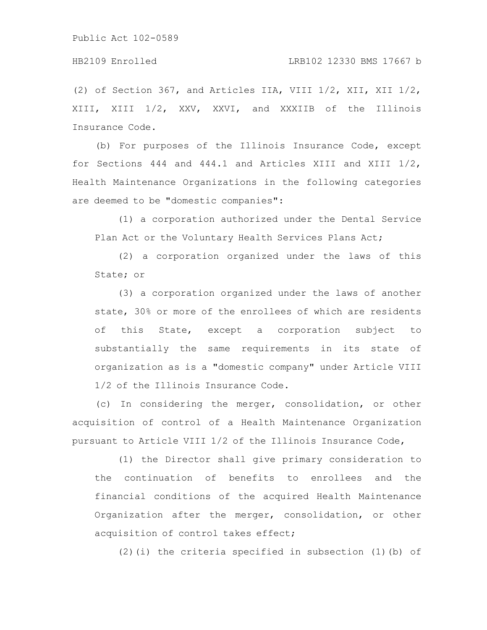## HB2109 Enrolled LRB102 12330 BMS 17667 b

(2) of Section 367, and Articles IIA, VIII 1/2, XII, XII 1/2, XIII, XIII 1/2, XXV, XXVI, and XXXIIB of the Illinois Insurance Code.

(b) For purposes of the Illinois Insurance Code, except for Sections 444 and 444.1 and Articles XIII and XIII 1/2, Health Maintenance Organizations in the following categories are deemed to be "domestic companies":

(1) a corporation authorized under the Dental Service Plan Act or the Voluntary Health Services Plans Act;

(2) a corporation organized under the laws of this State; or

(3) a corporation organized under the laws of another state, 30% or more of the enrollees of which are residents of this State, except a corporation subject to substantially the same requirements in its state of organization as is a "domestic company" under Article VIII 1/2 of the Illinois Insurance Code.

(c) In considering the merger, consolidation, or other acquisition of control of a Health Maintenance Organization pursuant to Article VIII 1/2 of the Illinois Insurance Code,

(1) the Director shall give primary consideration to the continuation of benefits to enrollees and the financial conditions of the acquired Health Maintenance Organization after the merger, consolidation, or other acquisition of control takes effect;

(2)(i) the criteria specified in subsection (1)(b) of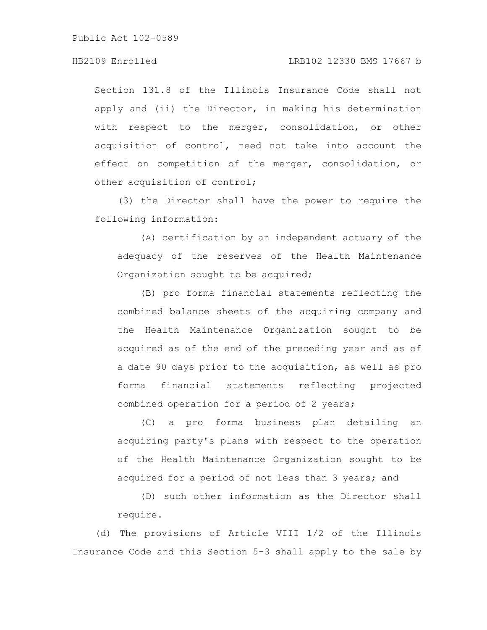## HB2109 Enrolled LRB102 12330 BMS 17667 b

Section 131.8 of the Illinois Insurance Code shall not apply and (ii) the Director, in making his determination with respect to the merger, consolidation, or other acquisition of control, need not take into account the effect on competition of the merger, consolidation, or other acquisition of control;

(3) the Director shall have the power to require the following information:

(A) certification by an independent actuary of the adequacy of the reserves of the Health Maintenance Organization sought to be acquired;

(B) pro forma financial statements reflecting the combined balance sheets of the acquiring company and the Health Maintenance Organization sought to be acquired as of the end of the preceding year and as of a date 90 days prior to the acquisition, as well as pro forma financial statements reflecting projected combined operation for a period of 2 years;

(C) a pro forma business plan detailing an acquiring party's plans with respect to the operation of the Health Maintenance Organization sought to be acquired for a period of not less than 3 years; and

(D) such other information as the Director shall require.

(d) The provisions of Article VIII 1/2 of the Illinois Insurance Code and this Section 5-3 shall apply to the sale by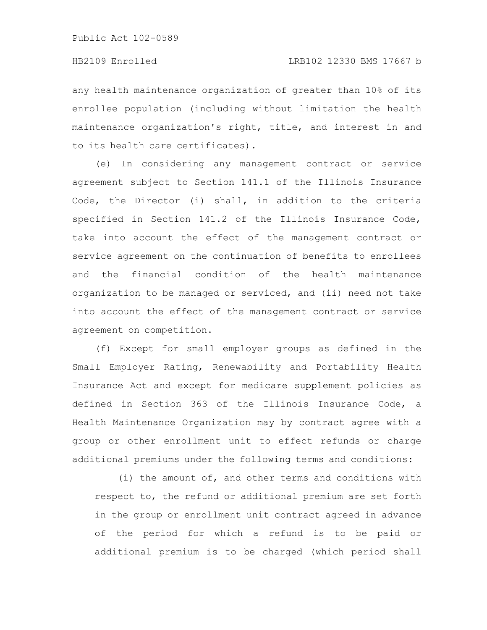any health maintenance organization of greater than 10% of its enrollee population (including without limitation the health maintenance organization's right, title, and interest in and to its health care certificates).

(e) In considering any management contract or service agreement subject to Section 141.1 of the Illinois Insurance Code, the Director (i) shall, in addition to the criteria specified in Section 141.2 of the Illinois Insurance Code, take into account the effect of the management contract or service agreement on the continuation of benefits to enrollees and the financial condition of the health maintenance organization to be managed or serviced, and (ii) need not take into account the effect of the management contract or service agreement on competition.

(f) Except for small employer groups as defined in the Small Employer Rating, Renewability and Portability Health Insurance Act and except for medicare supplement policies as defined in Section 363 of the Illinois Insurance Code, a Health Maintenance Organization may by contract agree with a group or other enrollment unit to effect refunds or charge additional premiums under the following terms and conditions:

(i) the amount of, and other terms and conditions with respect to, the refund or additional premium are set forth in the group or enrollment unit contract agreed in advance of the period for which a refund is to be paid or additional premium is to be charged (which period shall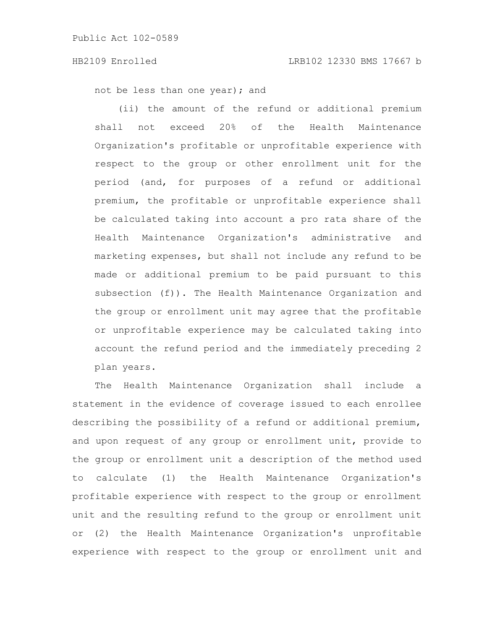not be less than one year); and

(ii) the amount of the refund or additional premium shall not exceed 20% of the Health Maintenance Organization's profitable or unprofitable experience with respect to the group or other enrollment unit for the period (and, for purposes of a refund or additional premium, the profitable or unprofitable experience shall be calculated taking into account a pro rata share of the Health Maintenance Organization's administrative and marketing expenses, but shall not include any refund to be made or additional premium to be paid pursuant to this subsection (f)). The Health Maintenance Organization and the group or enrollment unit may agree that the profitable or unprofitable experience may be calculated taking into account the refund period and the immediately preceding 2 plan years.

The Health Maintenance Organization shall include a statement in the evidence of coverage issued to each enrollee describing the possibility of a refund or additional premium, and upon request of any group or enrollment unit, provide to the group or enrollment unit a description of the method used to calculate (1) the Health Maintenance Organization's profitable experience with respect to the group or enrollment unit and the resulting refund to the group or enrollment unit or (2) the Health Maintenance Organization's unprofitable experience with respect to the group or enrollment unit and